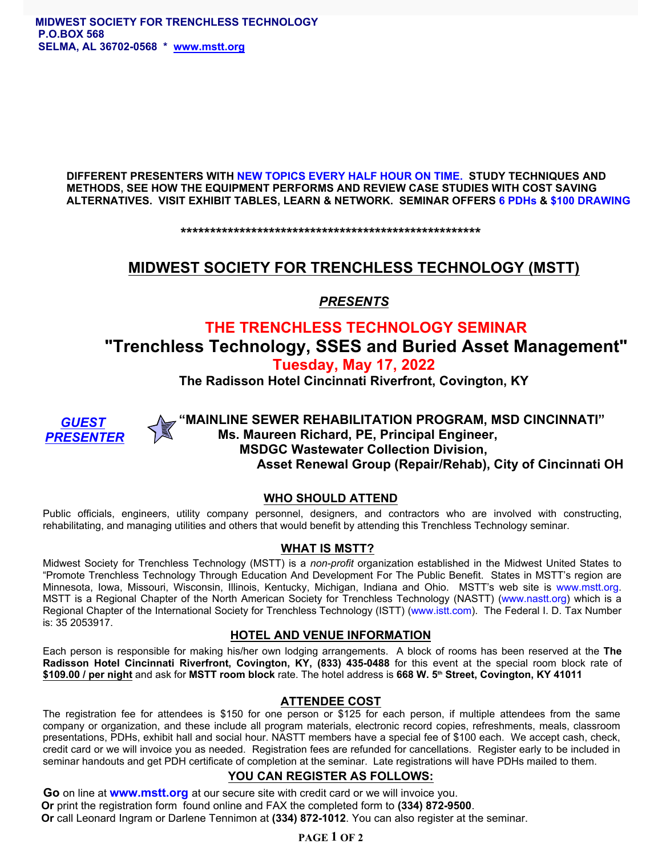**DIFFERENT PRESENTERS WITH NEW TOPICS EVERY HALF HOUR ON TIME. STUDY TECHNIQUES AND METHODS, SEE HOW THE EQUIPMENT PERFORMS AND REVIEW CASE STUDIES WITH COST SAVING ALTERNATIVES. VISIT EXHIBIT TABLES, LEARN & NETWORK. SEMINAR OFFERS 6 PDHs & \$100 DRAWING**

**\*\*\*\*\*\*\*\*\*\*\*\*\*\*\*\*\*\*\*\*\*\*\*\*\*\*\*\*\*\*\*\*\*\*\*\*\*\*\*\*\*\*\*\*\*\*\*\*\*\*\***

## **MIDWEST SOCIETY FOR TRENCHLESS TECHNOLOGY (MSTT)**

*PRESENTS*

# **THE TRENCHLESS TECHNOLOGY SEMINAR "Trenchless Technology, SSES and Buried Asset Management" Tuesday, May 17, 2022**

**The Radisson Hotel Cincinnati Riverfront, Covington, KY**



**"MAINLINE SEWER REHABILITATION PROGRAM, MSD CINCINNATI"** *GUEST* **Ms. Maureen Richard, PE, Principal Engineer, MSDGC Wastewater Collection Division, Asset Renewal Group (Repair/Rehab), City of Cincinnati OH**

### **WHO SHOULD ATTEND**

Public officials, engineers, utility company personnel, designers, and contractors who are involved with constructing, rehabilitating, and managing utilities and others that would benefit by attending this Trenchless Technology seminar.

### **WHAT IS MSTT?**

Midwest Society for Trenchless Technology (MSTT) is a *non-profit* organization established in the Midwest United States to "Promote Trenchless Technology Through Education And Development For The Public Benefit. States in MSTT's region are Minnesota, Iowa, Missouri, Wisconsin, Illinois, Kentucky, Michigan, Indiana and Ohio. MSTT's web site is [www.mstt.org](http://www.mstt.org).<br>MSTT is a Regional Chapter of the North American Society for Trenchless Technology (NASTT) (www.nastt.o Regional Chapter of the International Society for Trenchless Technology (ISTT) [\(www.istt.com](http://www.istt.com)). The Federal I. D. Tax Number is: 35 2053917.

#### **HOTEL AND VENUE INFORMATION**

Each person is responsible for making his/her own lodging arrangements. A block of rooms has been reserved at the **The Radisson Hotel Cincinnati Riverfront, Covington, KY, (833) 435-0488** for this event at the special room block rate of **\$109.00 / per night** and ask for **MSTT room block** rate. The hotel address is **668 W. 5th Street, Covington, KY 41011**

### **ATTENDEE COST**

The registration fee for attendees is \$150 for one person or \$125 for each person, if multiple attendees from the same company or organization, and these include all program materials, electronic record copies, refreshments, meals, classroom presentations, PDHs, exhibit hall and social hour. NASTT members have a special fee of \$100 each. We accept cash, check, credit card or we will invoice you as needed. Registration fees are refunded for cancellations. Register early to be included in seminar handouts and get PDH certificate of completion at the seminar. Late registrations will have PDHs mailed to them.

## **YOU CAN REGISTER AS FOLLOWS:**

 **Go** on line at **[www.mstt.org](http://www.mstt.org)** at our secure site with credit card or we will invoice you. **Or** print the registration form found online and FAX the completed form to **(334) 872-9500**. **Or** call Leonard Ingram or Darlene Tennimon at **(334) 872-1012**. You can also register at the seminar.

## **PAGE 1 OF 2**